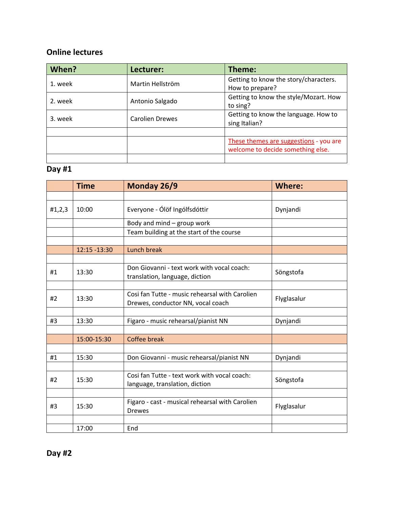#### **Online lectures**

| When?   | Lecturer:              | Theme:                                                                      |
|---------|------------------------|-----------------------------------------------------------------------------|
| 1. week | Martin Hellström       | Getting to know the story/characters.<br>How to prepare?                    |
| 2. week | Antonio Salgado        | Getting to know the style/Mozart. How<br>to sing?                           |
| 3. week | <b>Carolien Drewes</b> | Getting to know the language. How to<br>sing Italian?                       |
|         |                        |                                                                             |
|         |                        | These themes are suggestions - you are<br>welcome to decide something else. |
|         |                        |                                                                             |

# **Day #1**

|        | <b>Time</b>  | Monday 26/9                                                                         | <b>Where:</b> |
|--------|--------------|-------------------------------------------------------------------------------------|---------------|
|        |              |                                                                                     |               |
| #1,2,3 | 10:00        | Everyone - Ólöf Ingólfsdóttir                                                       | Dynjandi      |
|        |              | Body and mind - group work                                                          |               |
|        |              | Team building at the start of the course                                            |               |
|        |              |                                                                                     |               |
|        | 12:15 -13:30 | Lunch break                                                                         |               |
|        |              |                                                                                     |               |
| #1     | 13:30        | Don Giovanni - text work with vocal coach:<br>translation, language, diction        | Söngstofa     |
|        |              |                                                                                     |               |
| #2     | 13:30        | Cosi fan Tutte - music rehearsal with Carolien<br>Drewes, conductor NN, vocal coach | Flyglasalur   |
|        |              |                                                                                     |               |
| #3     | 13:30        | Figaro - music rehearsal/pianist NN                                                 | Dynjandi      |
|        |              |                                                                                     |               |
|        | 15:00-15:30  | Coffee break                                                                        |               |
|        |              |                                                                                     |               |
| #1     | 15:30        | Don Giovanni - music rehearsal/pianist NN                                           | Dynjandi      |
|        |              |                                                                                     |               |
| #2     | 15:30        | Cosi fan Tutte - text work with vocal coach:<br>language, translation, diction      | Söngstofa     |
|        |              |                                                                                     |               |
| #3     | 15:30        | Figaro - cast - musical rehearsal with Carolien<br><b>Drewes</b>                    | Flyglasalur   |
|        |              |                                                                                     |               |
|        | 17:00        | End                                                                                 |               |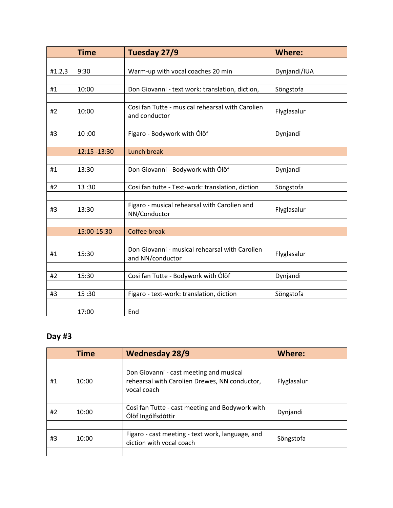|        | <b>Time</b>   | Tuesday 27/9                                                       | <b>Where:</b> |
|--------|---------------|--------------------------------------------------------------------|---------------|
|        |               |                                                                    |               |
| #1.2,3 | 9:30          | Warm-up with vocal coaches 20 min                                  | Dynjandi/IUA  |
|        |               |                                                                    |               |
| #1     | 10:00         | Don Giovanni - text work: translation, diction,                    | Söngstofa     |
|        |               |                                                                    |               |
| #2     | 10:00         | Cosi fan Tutte - musical rehearsal with Carolien<br>and conductor  | Flyglasalur   |
|        |               |                                                                    |               |
| #3     | 10:00         | Figaro - Bodywork with Ólöf                                        | Dynjandi      |
|        |               |                                                                    |               |
|        | 12:15 - 13:30 | Lunch break                                                        |               |
|        |               |                                                                    |               |
| #1     | 13:30         | Don Giovanni - Bodywork with Ólöf                                  | Dynjandi      |
|        |               |                                                                    |               |
| #2     | 13:30         | Cosi fan tutte - Text-work: translation, diction                   | Söngstofa     |
|        |               |                                                                    |               |
| #3     | 13:30         | Figaro - musical rehearsal with Carolien and<br>NN/Conductor       | Flyglasalur   |
|        |               |                                                                    |               |
|        | 15:00-15:30   | <b>Coffee break</b>                                                |               |
|        |               |                                                                    |               |
| #1     | 15:30         | Don Giovanni - musical rehearsal with Carolien<br>and NN/conductor | Flyglasalur   |
|        |               |                                                                    |               |
| #2     | 15:30         | Cosi fan Tutte - Bodywork with Ólöf                                | Dynjandi      |
|        |               |                                                                    |               |
| #3     | 15:30         | Figaro - text-work: translation, diction                           | Söngstofa     |
|        |               |                                                                    |               |
|        | 17:00         | End                                                                |               |

|    | <b>Time</b> | <b>Wednesday 28/9</b>                                                                                   | <b>Where:</b> |
|----|-------------|---------------------------------------------------------------------------------------------------------|---------------|
|    |             |                                                                                                         |               |
| #1 | 10:00       | Don Giovanni - cast meeting and musical<br>rehearsal with Carolien Drewes, NN conductor,<br>vocal coach | Flyglasalur   |
|    |             |                                                                                                         |               |
| #2 | 10:00       | Cosi fan Tutte - cast meeting and Bodywork with<br>Ólöf Ingólfsdóttir                                   | Dynjandi      |
|    |             |                                                                                                         |               |
| #3 | 10:00       | Figaro - cast meeting - text work, language, and<br>diction with vocal coach                            | Söngstofa     |
|    |             |                                                                                                         |               |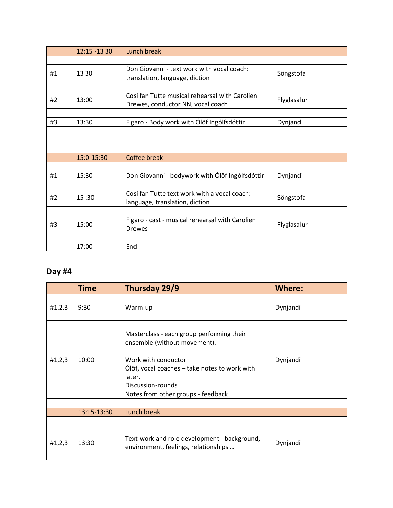|    | 12:15 -13 30 | Lunch break                                                                         |             |
|----|--------------|-------------------------------------------------------------------------------------|-------------|
|    |              |                                                                                     |             |
| #1 | 13 30        | Don Giovanni - text work with vocal coach:<br>translation, language, diction        | Söngstofa   |
|    |              |                                                                                     |             |
| #2 | 13:00        | Cosi fan Tutte musical rehearsal with Carolien<br>Drewes, conductor NN, vocal coach | Flyglasalur |
|    |              |                                                                                     |             |
| #3 | 13:30        | Figaro - Body work with Ólöf Ingólfsdóttir                                          | Dynjandi    |
|    |              |                                                                                     |             |
|    |              |                                                                                     |             |
|    |              |                                                                                     |             |
|    | 15:0-15:30   | Coffee break                                                                        |             |
|    |              |                                                                                     |             |
| #1 | 15:30        | Don Giovanni - bodywork with Ólöf Ingólfsdóttir                                     | Dynjandi    |
|    |              |                                                                                     |             |
| #2 | 15:30        | Cosi fan Tutte text work with a vocal coach:<br>language, translation, diction      | Söngstofa   |
|    |              |                                                                                     |             |
| #3 | 15:00        | Figaro - cast - musical rehearsal with Carolien<br><b>Drewes</b>                    | Flyglasalur |
|    |              |                                                                                     |             |
|    | 17:00        | End                                                                                 |             |

|        | <b>Time</b> | Thursday 29/9                                                                                                                                                                                                          | <b>Where:</b> |
|--------|-------------|------------------------------------------------------------------------------------------------------------------------------------------------------------------------------------------------------------------------|---------------|
|        |             |                                                                                                                                                                                                                        |               |
| #1.2,3 | 9:30        | Warm-up                                                                                                                                                                                                                | Dynjandi      |
|        |             |                                                                                                                                                                                                                        |               |
| #1,2,3 | 10:00       | Masterclass - each group performing their<br>ensemble (without movement).<br>Work with conductor<br>Ólöf, vocal coaches – take notes to work with<br>later.<br>Discussion-rounds<br>Notes from other groups - feedback | Dynjandi      |
|        |             |                                                                                                                                                                                                                        |               |
|        | 13:15-13:30 | Lunch break                                                                                                                                                                                                            |               |
|        |             |                                                                                                                                                                                                                        |               |
| #1,2,3 | 13:30       | Text-work and role development - background,<br>environment, feelings, relationships                                                                                                                                   | Dynjandi      |